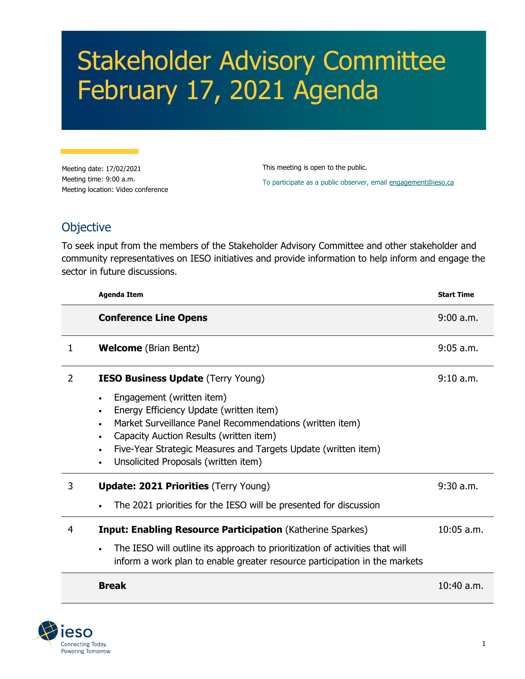## Stakeholder Advisory Committee February 17, 2021 Agenda

Meeting date: 17/02/2021 Meeting time: 9:00 a.m. Meeting location: Video conference This meeting is open to the public. To participate as a public observer, email [engagement@ieso.ca](mailto:engagement@ieso.ca)

## **Objective**

To seek input from the members of the Stakeholder Advisory Committee and other stakeholder and community representatives on IESO initiatives and provide information to help inform and engage the sector in future discussions.

|   | <b>Agenda Item</b>                                                                                                                                                                                                                                                                                                                                           | <b>Start Time</b> |
|---|--------------------------------------------------------------------------------------------------------------------------------------------------------------------------------------------------------------------------------------------------------------------------------------------------------------------------------------------------------------|-------------------|
|   | <b>Conference Line Opens</b>                                                                                                                                                                                                                                                                                                                                 | 9:00 a.m.         |
| 1 | <b>Welcome</b> (Brian Bentz)                                                                                                                                                                                                                                                                                                                                 | $9:05$ a.m.       |
| 2 | <b>IESO Business Update (Terry Young)</b><br>Engagement (written item)<br>Energy Efficiency Update (written item)<br>Market Surveillance Panel Recommendations (written item)<br>$\bullet$<br>Capacity Auction Results (written item)<br>Five-Year Strategic Measures and Targets Update (written item)<br>$\bullet$<br>Unsolicited Proposals (written item) | 9:10 a.m.         |
| 3 | <b>Update: 2021 Priorities (Terry Young)</b><br>The 2021 priorities for the IESO will be presented for discussion                                                                                                                                                                                                                                            | $9:30$ a.m.       |
| 4 | <b>Input: Enabling Resource Participation (Katherine Sparkes)</b><br>The IESO will outline its approach to prioritization of activities that will<br>inform a work plan to enable greater resource participation in the markets                                                                                                                              | $10:05$ a.m.      |
|   | <b>Break</b>                                                                                                                                                                                                                                                                                                                                                 | $10:40$ a.m.      |